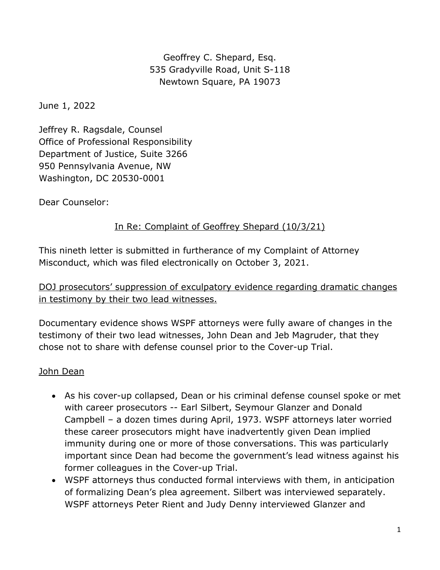Geoffrey C. Shepard, Esq. 535 Gradyville Road, Unit S-118 Newtown Square, PA 19073

June 1, 2022

Jeffrey R. Ragsdale, Counsel Office of Professional Responsibility Department of Justice, Suite 3266 950 Pennsylvania Avenue, NW Washington, DC 20530-0001

Dear Counselor:

### In Re: Complaint of Geoffrey Shepard (10/3/21)

This nineth letter is submitted in furtherance of my Complaint of Attorney Misconduct, which was filed electronically on October 3, 2021.

DOJ prosecutors' suppression of exculpatory evidence regarding dramatic changes in testimony by their two lead witnesses.

Documentary evidence shows WSPF attorneys were fully aware of changes in the testimony of their two lead witnesses, John Dean and Jeb Magruder, that they chose not to share with defense counsel prior to the Cover-up Trial.

#### John Dean

- As his cover-up collapsed, Dean or his criminal defense counsel spoke or met with career prosecutors -- Earl Silbert, Seymour Glanzer and Donald Campbell – a dozen times during April, 1973. WSPF attorneys later worried these career prosecutors might have inadvertently given Dean implied immunity during one or more of those conversations. This was particularly important since Dean had become the government's lead witness against his former colleagues in the Cover-up Trial.
- WSPF attorneys thus conducted formal interviews with them, in anticipation of formalizing Dean's plea agreement. Silbert was interviewed separately. WSPF attorneys Peter Rient and Judy Denny interviewed Glanzer and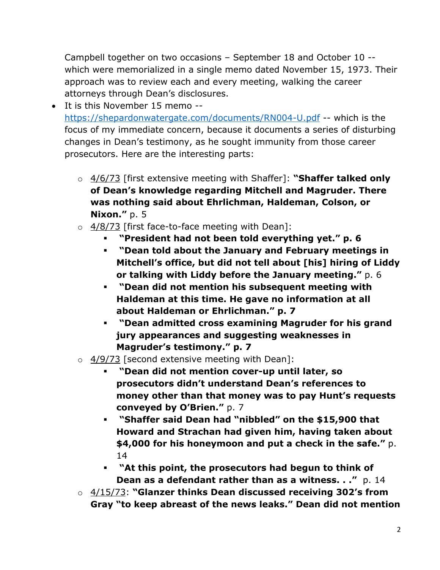Campbell together on two occasions – September 18 and October 10 - which were memorialized in a single memo dated November 15, 1973. Their approach was to review each and every meeting, walking the career attorneys through Dean's disclosures.

- It is this November 15 memo https://shepardonwatergate.com/documents/RN004-U.pdf -- which is the focus of my immediate concern, because it documents a series of disturbing changes in Dean's testimony, as he sought immunity from those career prosecutors. Here are the interesting parts:
	- o 4/6/73 [first extensive meeting with Shaffer]: **"Shaffer talked only of Dean's knowledge regarding Mitchell and Magruder. There was nothing said about Ehrlichman, Haldeman, Colson, or Nixon.**" p. 5
	- $\circ$  4/8/73 [first face-to-face meeting with Dean]:
		- § **"President had not been told everything yet." p. 6**
		- § **"Dean told about the January and February meetings in Mitchell's office, but did not tell about [his] hiring of Liddy or talking with Liddy before the January meeting."** p. 6
		- § **"Dean did not mention his subsequent meeting with Haldeman at this time. He gave no information at all about Haldeman or Ehrlichman." p. 7**
		- § **"Dean admitted cross examining Magruder for his grand jury appearances and suggesting weaknesses in Magruder's testimony." p. 7**
	- $\circ$  4/9/73 [second extensive meeting with Dean]:
		- § **"Dean did not mention cover-up until later, so prosecutors didn't understand Dean's references to money other than that money was to pay Hunt's requests conveyed by O'Brien."** p. 7
		- § **"Shaffer said Dean had "nibbled" on the \$15,900 that Howard and Strachan had given him, having taken about \$4,000 for his honeymoon and put a check in the safe."** p. 14
		- § **"At this point, the prosecutors had begun to think of Dean as a defendant rather than as a witness. . ."** p. 14
	- o 4/15/73: **"Glanzer thinks Dean discussed receiving 302's from Gray "to keep abreast of the news leaks." Dean did not mention**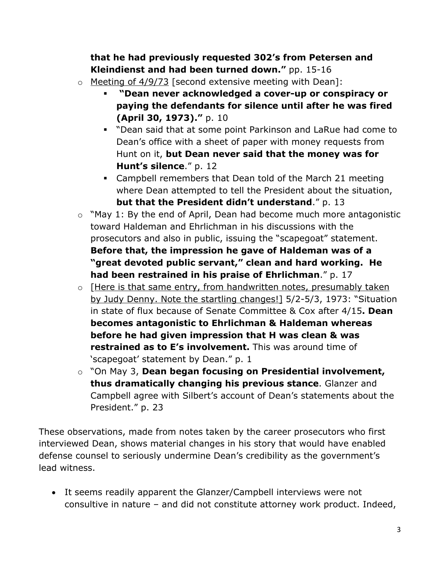# **that he had previously requested 302's from Petersen and Kleindienst and had been turned down."** pp. 15-16

- $\circ$  Meeting of 4/9/73 [second extensive meeting with Dean]:
	- § **"Dean never acknowledged a cover-up or conspiracy or paying the defendants for silence until after he was fired (April 30, 1973)."** p. 10
	- § "Dean said that at some point Parkinson and LaRue had come to Dean's office with a sheet of paper with money requests from Hunt on it, **but Dean never said that the money was for Hunt's silence**." p. 12
	- Campbell remembers that Dean told of the March 21 meeting where Dean attempted to tell the President about the situation, **but that the President didn't understand**." p. 13
- $\circ$  "May 1: By the end of April, Dean had become much more antagonistic toward Haldeman and Ehrlichman in his discussions with the prosecutors and also in public, issuing the "scapegoat" statement. **Before that, the impression he gave of Haldeman was of a "great devoted public servant," clean and hard working. He had been restrained in his praise of Ehrlichman**." p. 17
- o [Here is that same entry, from handwritten notes, presumably taken by Judy Denny. Note the startling changes!] 5/2-5/3, 1973: "Situation in state of flux because of Senate Committee & Cox after 4/15**. Dean becomes antagonistic to Ehrlichman & Haldeman whereas before he had given impression that H was clean & was restrained as to E's involvement.** This was around time of 'scapegoat' statement by Dean." p. 1
- o "On May 3, **Dean began focusing on Presidential involvement, thus dramatically changing his previous stance**. Glanzer and Campbell agree with Silbert's account of Dean's statements about the President." p. 23

These observations, made from notes taken by the career prosecutors who first interviewed Dean, shows material changes in his story that would have enabled defense counsel to seriously undermine Dean's credibility as the government's lead witness.

• It seems readily apparent the Glanzer/Campbell interviews were not consultive in nature – and did not constitute attorney work product. Indeed,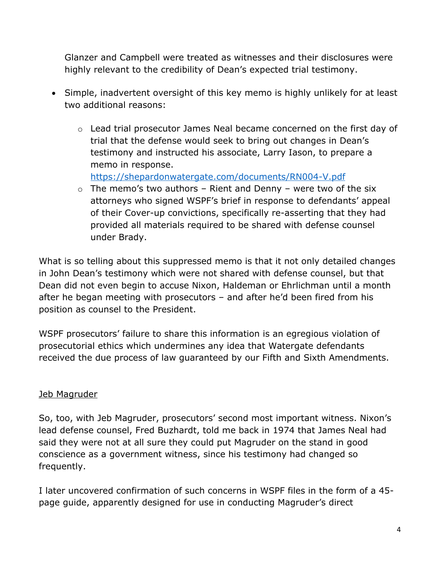Glanzer and Campbell were treated as witnesses and their disclosures were highly relevant to the credibility of Dean's expected trial testimony.

- Simple, inadvertent oversight of this key memo is highly unlikely for at least two additional reasons:
	- o Lead trial prosecutor James Neal became concerned on the first day of trial that the defense would seek to bring out changes in Dean's testimony and instructed his associate, Larry Iason, to prepare a memo in response.

https://shepardonwatergate.com/documents/RN004-V.pdf

 $\circ$  The memo's two authors – Rient and Denny – were two of the six attorneys who signed WSPF's brief in response to defendants' appeal of their Cover-up convictions, specifically re-asserting that they had provided all materials required to be shared with defense counsel under Brady.

What is so telling about this suppressed memo is that it not only detailed changes in John Dean's testimony which were not shared with defense counsel, but that Dean did not even begin to accuse Nixon, Haldeman or Ehrlichman until a month after he began meeting with prosecutors – and after he'd been fired from his position as counsel to the President.

WSPF prosecutors' failure to share this information is an egregious violation of prosecutorial ethics which undermines any idea that Watergate defendants received the due process of law guaranteed by our Fifth and Sixth Amendments.

# Jeb Magruder

So, too, with Jeb Magruder, prosecutors' second most important witness. Nixon's lead defense counsel, Fred Buzhardt, told me back in 1974 that James Neal had said they were not at all sure they could put Magruder on the stand in good conscience as a government witness, since his testimony had changed so frequently.

I later uncovered confirmation of such concerns in WSPF files in the form of a 45 page guide, apparently designed for use in conducting Magruder's direct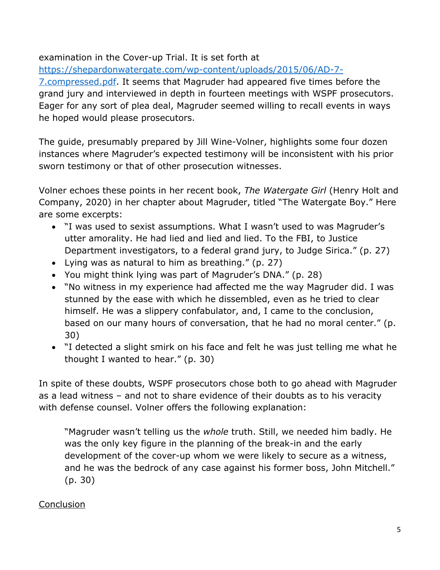#### examination in the Cover-up Trial. It is set forth at

https://shepardonwatergate.com/wp-content/uploads/2015/06/AD-7-

7.compressed.pdf. It seems that Magruder had appeared five times before the grand jury and interviewed in depth in fourteen meetings with WSPF prosecutors. Eager for any sort of plea deal, Magruder seemed willing to recall events in ways he hoped would please prosecutors.

The guide, presumably prepared by Jill Wine-Volner, highlights some four dozen instances where Magruder's expected testimony will be inconsistent with his prior sworn testimony or that of other prosecution witnesses.

Volner echoes these points in her recent book, *The Watergate Girl* (Henry Holt and Company, 2020) in her chapter about Magruder, titled "The Watergate Boy." Here are some excerpts:

- "I was used to sexist assumptions. What I wasn't used to was Magruder's utter amorality. He had lied and lied and lied. To the FBI, to Justice Department investigators, to a federal grand jury, to Judge Sirica." (p. 27)
- Lying was as natural to him as breathing." (p. 27)
- You might think lying was part of Magruder's DNA." (p. 28)
- "No witness in my experience had affected me the way Magruder did. I was stunned by the ease with which he dissembled, even as he tried to clear himself. He was a slippery confabulator, and, I came to the conclusion, based on our many hours of conversation, that he had no moral center." (p. 30)
- "I detected a slight smirk on his face and felt he was just telling me what he thought I wanted to hear." (p. 30)

In spite of these doubts, WSPF prosecutors chose both to go ahead with Magruder as a lead witness – and not to share evidence of their doubts as to his veracity with defense counsel. Volner offers the following explanation:

"Magruder wasn't telling us the *whole* truth. Still, we needed him badly. He was the only key figure in the planning of the break-in and the early development of the cover-up whom we were likely to secure as a witness, and he was the bedrock of any case against his former boss, John Mitchell." (p. 30)

# **Conclusion**